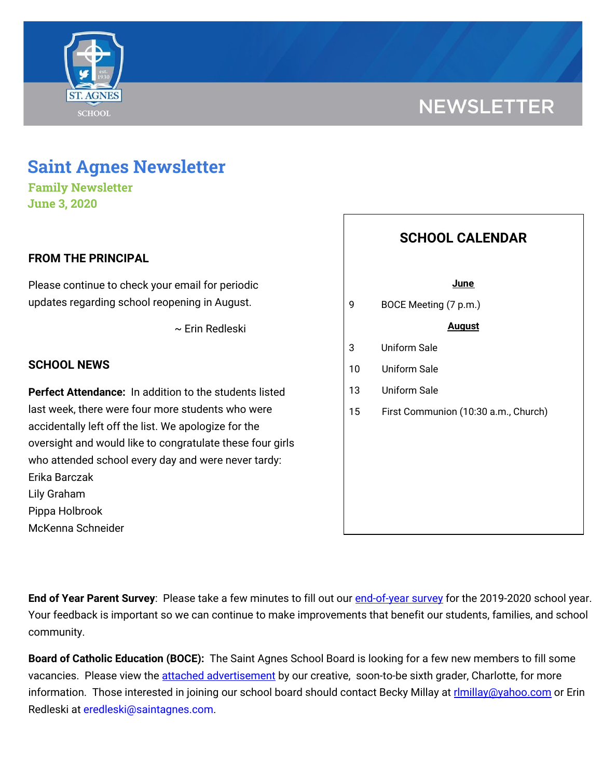

## **NEWSLETTER**

### **Saint Agnes Newsletter**

**Family Newsletter June 3, 2020**

#### **FROM THE PRINCIPAL**

Please continue to check your email for periodic updates regarding school reopening in August.

~ Erin Redleski

#### **SCHOOL NEWS**

**Perfect Attendance:** In addition to the students listed last week, there were four more students who were accidentally left off the list. We apologize for the oversight and would like to congratulate these four girls who attended school every day and were never tardy: Erika Barczak Lily Graham Pippa Holbrook McKenna Schneider

# **SCHOOL CALENDAR June** 9 BOCE Meeting (7 p.m.) **August** 3 Uniform Sale 10 Uniform Sale 13 Uniform Sale 15 First Communion (10:30 a.m., Church)

**End of Year Parent Survey**: Please take a few minutes to fill out our [end-of-year](https://www.surveymonkey.com/r/StAParentSurvey0520) survey for the 2019-2020 school year. Your feedback is important so we can continue to make improvements that benefit our students, families, and school community.

**Board of Catholic Education (BOCE):** The Saint Agnes School Board is looking for a few new members to fill some vacancies. Please view the attached [advertisement](https://school.saintagnes.com/wp-content/uploads/2020/05/board-of-education-2020.pdf) by our creative, soon-to-be sixth grader, Charlotte, for more information. Those interested in joining our school board should contact Becky Millay at [rlmillay@yahoo.com](mailto:rlmillay@yahoo.com) or Erin Redleski at eredleski@saintagnes.com.